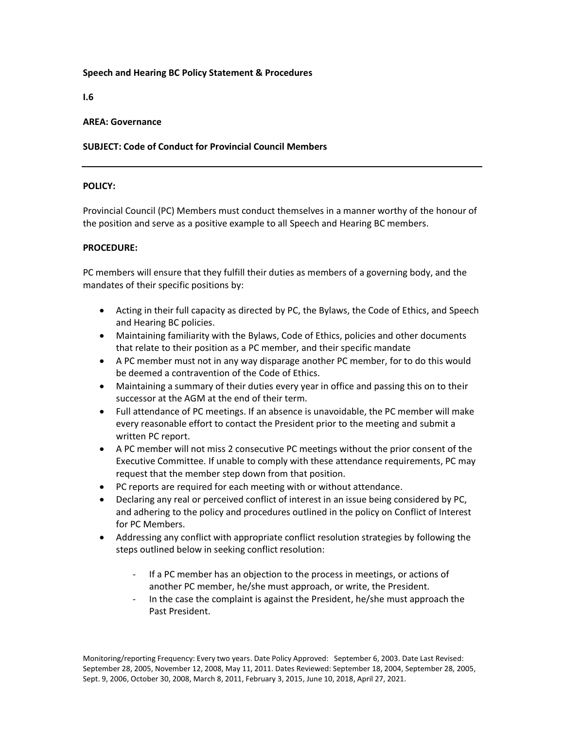### **Speech and Hearing BC Policy Statement & Procedures**

**I.6**

#### **AREA: Governance**

# **SUBJECT: Code of Conduct for Provincial Council Members**

#### **POLICY:**

Provincial Council (PC) Members must conduct themselves in a manner worthy of the honour of the position and serve as a positive example to all Speech and Hearing BC members.

# **PROCEDURE:**

PC members will ensure that they fulfill their duties as members of a governing body, and the mandates of their specific positions by:

- Acting in their full capacity as directed by PC, the Bylaws, the Code of Ethics, and Speech and Hearing BC policies.
- Maintaining familiarity with the Bylaws, Code of Ethics, policies and other documents that relate to their position as a PC member, and their specific mandate
- A PC member must not in any way disparage another PC member, for to do this would be deemed a contravention of the Code of Ethics.
- Maintaining a summary of their duties every year in office and passing this on to their successor at the AGM at the end of their term.
- Full attendance of PC meetings. If an absence is unavoidable, the PC member will make every reasonable effort to contact the President prior to the meeting and submit a written PC report.
- A PC member will not miss 2 consecutive PC meetings without the prior consent of the Executive Committee. If unable to comply with these attendance requirements, PC may request that the member step down from that position.
- PC reports are required for each meeting with or without attendance.
- Declaring any real or perceived conflict of interest in an issue being considered by PC, and adhering to the policy and procedures outlined in the policy on Conflict of Interest for PC Members.
- Addressing any conflict with appropriate conflict resolution strategies by following the steps outlined below in seeking conflict resolution:
	- If a PC member has an objection to the process in meetings, or actions of another PC member, he/she must approach, or write, the President.
	- In the case the complaint is against the President, he/she must approach the Past President.

Monitoring/reporting Frequency: Every two years. Date Policy Approved: September 6, 2003. Date Last Revised: September 28, 2005, November 12, 2008, May 11, 2011. Dates Reviewed: September 18, 2004, September 28, 2005, Sept. 9, 2006, October 30, 2008, March 8, 2011, February 3, 2015, June 10, 2018, April 27, 2021.